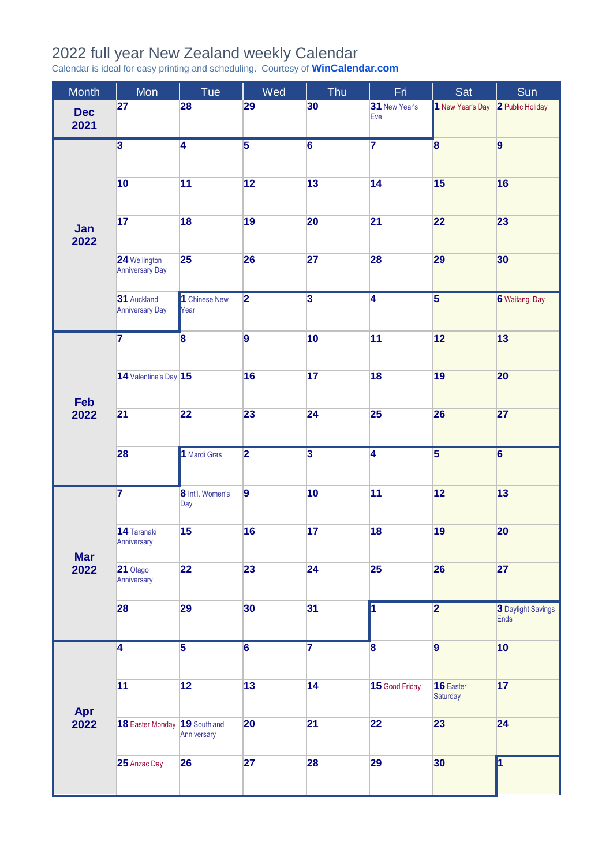## 2022 full year New Zealand weekly Calendar

Calendar is ideal for easy printing and scheduling. Courtesy of **[WinCalendar.com](https://www.wincalendar.com/2022-Calendar-with-NZ-Holidays)**

| <b>Month</b>       | Mon                                     | Tue                         | Wed                     | Thu                     | Fri.                    | Sat                     | Sun                        |
|--------------------|-----------------------------------------|-----------------------------|-------------------------|-------------------------|-------------------------|-------------------------|----------------------------|
| <b>Dec</b><br>2021 | 27                                      | 28                          | 29                      | 30                      | 31 New Year's<br>Eve    | 1 New Year's Day        | 2 Public Holiday           |
| Jan<br>2022        | $\overline{\mathbf{3}}$                 | $\overline{4}$              | $\overline{5}$          | $\overline{6}$          | $\overline{7}$          | $\overline{\mathbf{8}}$ | 9                          |
|                    | 10                                      | 11                          | 12                      | 13                      | 14                      | 15                      | 16                         |
|                    | 17                                      | 18                          | 19                      | 20                      | 21                      | 22                      | 23                         |
|                    | 24 Wellington<br><b>Anniversary Day</b> | 25                          | 26                      | 27                      | 28                      | 29                      | 30                         |
|                    | 31 Auckland<br><b>Anniversary Day</b>   | 1 Chinese New<br>Year       | $\overline{\mathbf{2}}$ | $\overline{\mathbf{3}}$ | $\overline{4}$          | $\overline{\mathbf{5}}$ | 6 Waitangi Day             |
| Feb<br>2022        | $\overline{\mathbf{7}}$                 | $\overline{\mathbf{8}}$     | $\overline{9}$          | 10                      | 11                      | 12                      | 13                         |
|                    | 14 Valentine's Day 15                   |                             | 16                      | 17                      | 18                      | 19                      | 20                         |
|                    | 21                                      | 22                          | 23                      | 24                      | 25                      | 26                      | 27                         |
|                    | 28                                      | 1 Mardi Gras                | $\overline{\mathbf{2}}$ | $\overline{\mathbf{3}}$ | $\overline{4}$          | $\overline{\mathbf{5}}$ | $\overline{6}$             |
| <b>Mar</b><br>2022 | $\overline{7}$                          | 8 Int'l. Women's<br>Day     | $\overline{9}$          | 10                      | 11                      | 12                      | 13                         |
|                    | 14 Taranaki<br>Anniversary              | 15                          | 16                      | 17                      | 18                      | 19                      | 20                         |
|                    | 21 Otago<br>Anniversary                 | 22                          | 23                      | 24                      | 25                      | 26                      | 27                         |
|                    | 28                                      | 29                          | 30                      | 31                      | $\overline{\mathbf{1}}$ | $\overline{\mathbf{2}}$ | 3 Daylight Savings<br>Ends |
| Apr<br>2022        | $\overline{4}$                          | $\overline{\mathbf{5}}$     | $\overline{6}$          | $\overline{\mathbf{7}}$ | 8                       | $\overline{9}$          | 10                         |
|                    | 11                                      | 12                          | 13                      | 14                      | 15 Good Friday          | 16 Easter<br>Saturday   | 17                         |
|                    | 18 Easter Monday                        | 19 Southland<br>Anniversary | 20                      | 21                      | 22                      | 23                      | 24                         |
|                    | 25 Anzac Day                            | 26                          | 27                      | 28                      | 29                      | 30                      | h                          |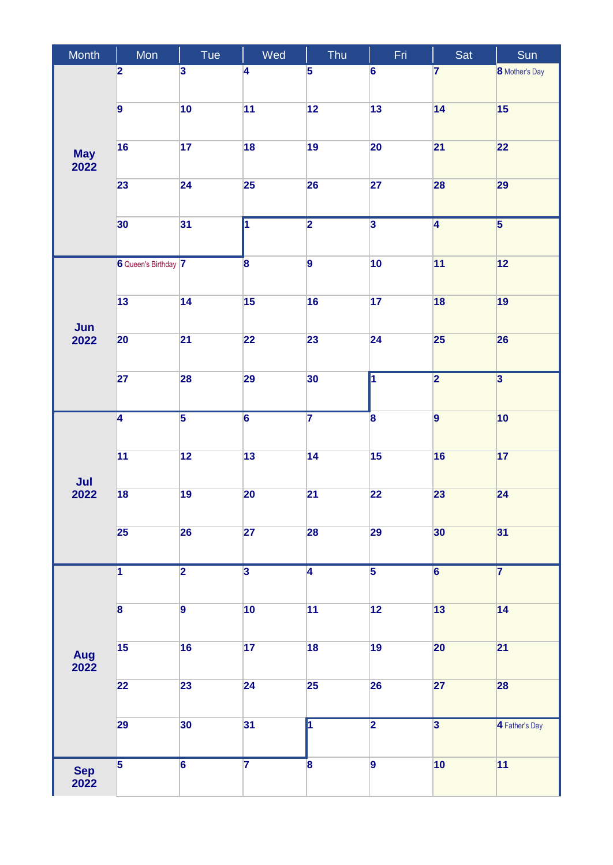| Month              | Mon                     | Tue                     | Wed                     | Thu                     | Fri                     | Sat                     | Sun                     |
|--------------------|-------------------------|-------------------------|-------------------------|-------------------------|-------------------------|-------------------------|-------------------------|
| <b>May</b><br>2022 | $\overline{\mathbf{2}}$ | $\overline{\mathbf{3}}$ | 4                       | 5                       | 6                       | 7                       | <b>8</b> Mother's Day   |
|                    | $\overline{9}$          | 10                      | 11                      | 12                      | 13                      | 14                      | 15                      |
|                    | 16                      | 17                      | 18                      | 19                      | 20                      | 21                      | 22                      |
|                    | 23                      | 24                      | 25                      | 26                      | 27                      | 28                      | 29                      |
|                    | 30                      | 31                      | $\overline{\mathbf{1}}$ | $\overline{\mathbf{2}}$ | $\overline{\mathbf{3}}$ | $\overline{4}$          | $\overline{\mathbf{5}}$ |
| Jun<br>2022        | 6 Queen's Birthday 7    |                         | $\overline{\mathbf{8}}$ | 9                       | 10                      | 11                      | 12                      |
|                    | 13                      | 14                      | 15                      | 16                      | 17                      | 18                      | 19                      |
|                    | 20                      | $\overline{21}$         | 22                      | 23                      | 24                      | 25                      | 26                      |
|                    | 27                      | 28                      | 29                      | 30                      | $\overline{\mathbf{1}}$ | $\overline{\mathbf{2}}$ | $\overline{\mathbf{3}}$ |
| Jul<br>2022        | $\overline{4}$          | $\overline{\mathbf{5}}$ | $\overline{6}$          | $\overline{\mathbf{7}}$ | $\overline{\mathbf{8}}$ | $\overline{9}$          | 10                      |
|                    | 11                      | 12                      | 13                      | 14                      | 15                      | 16                      | 17                      |
|                    | 18                      | 19                      | 20                      | $\overline{21}$         | 22                      | 23                      | 24                      |
|                    | 25                      | 26                      | 27                      | 28                      | 29                      | 30                      | 31                      |
| Aug<br>2022        | $\overline{1}$          | $\overline{2}$          | $\overline{\mathbf{3}}$ | $\overline{4}$          | $\overline{5}$          | $\overline{6}$          | $\overline{7}$          |
|                    | $\overline{\mathbf{8}}$ | $\overline{9}$          | 10                      | 11                      | $\overline{12}$         | 13                      | 14                      |
|                    | 15                      | 16                      | 17                      | 18                      | 19                      | 20                      | 21                      |
|                    | 22                      | 23                      | 24                      | 25                      | 26                      | 27                      | 28                      |
|                    | 29                      | 30                      | 31                      | $\overline{\mathbf{1}}$ | $\overline{\mathbf{2}}$ | $\overline{\mathbf{3}}$ | 4 Father's Day          |
| <b>Sep</b><br>2022 | $\overline{5}$          | $\overline{6}$          | $\overline{\mathbf{7}}$ | $\overline{\mathbf{8}}$ | $\overline{9}$          | 10                      | 11                      |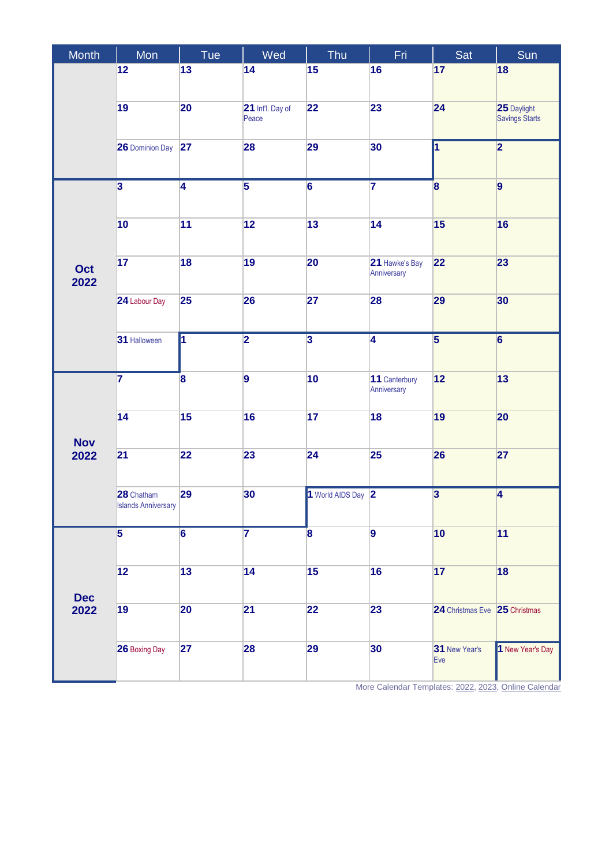| Month              | Mon                                      | Tue                     | Wed                       | Thu                     | Fri                           | Sat                           | Sun                                  |
|--------------------|------------------------------------------|-------------------------|---------------------------|-------------------------|-------------------------------|-------------------------------|--------------------------------------|
|                    | 12                                       | 13                      | 14                        | 15                      | 16                            | 17                            | 18                                   |
|                    |                                          |                         |                           |                         |                               |                               |                                      |
|                    | 19                                       | 20                      | 21 Int'l. Day of<br>Peace | 22                      | 23                            | 24                            | 25 Daylight<br><b>Savings Starts</b> |
|                    | <b>26 Dominion Day</b>                   | 27                      | 28                        | 29                      | 30                            | И                             | $\overline{\mathbf{2}}$              |
| Oct<br>2022        | $\overline{\mathbf{3}}$                  | $\overline{4}$          | $\overline{5}$            | $\overline{6}$          | $\overline{\mathbf{7}}$       | 8                             | $\overline{9}$                       |
|                    | 10                                       | 11                      | 12                        | 13                      | 14                            | 15                            | 16                                   |
|                    | 17                                       | 18                      | 19                        | 20                      | 21 Hawke's Bay<br>Anniversary | 22                            | 23                                   |
|                    | 24 Labour Day                            | 25                      | 26                        | 27                      | 28                            | 29                            | 30                                   |
|                    | 31 Halloween                             | $\overline{1}$          | $\overline{\mathbf{2}}$   | $\overline{\mathbf{3}}$ | $\overline{4}$                | $\overline{5}$                | $\overline{6}$                       |
| <b>Nov</b><br>2022 | $\overline{\mathbf{7}}$                  | $\overline{\mathbf{8}}$ | 9                         | 10                      | 11 Canterbury<br>Anniversary  | 12                            | 13                                   |
|                    | 14                                       | 15                      | 16                        | 17                      | 18                            | 19                            | 20                                   |
|                    | 21                                       | 22                      | 23                        | 24                      | 25                            | 26                            | 27                                   |
|                    | 28 Chatham<br><b>Islands Anniversary</b> | 29                      | 30                        | 1 World AIDS Day 2      |                               | $\overline{\mathbf{3}}$       | $\overline{4}$                       |
|                    | $\overline{\mathbf{5}}$                  | $6\phantom{a}$          | $\overline{7}$            | 8                       | $\overline{9}$                | 10                            | 11                                   |
| <b>Dec</b><br>2022 |                                          |                         |                           |                         |                               |                               |                                      |
|                    | 12                                       | 13                      | 14                        | 15                      | 16                            | 17                            | 18                                   |
|                    | 19                                       | 20                      | 21                        | 22                      | 23                            | 24 Christmas Eve 25 Christmas |                                      |
|                    | 26 Boxing Day                            | 27                      | 28                        | 29                      | 30                            | 31 New Year's<br>Eve          | 1 New Year's Day                     |

More Calendar Templates[: 2022,](https://www.wincalendar.com/2022-Calendar-with-NZ-Holidays) [2023,](https://www.wincalendar.com/2023-Calendar-with-NZ-Holidays) [Online Calendar](https://www.wincalendar.com/Calendar-NZ/2022)